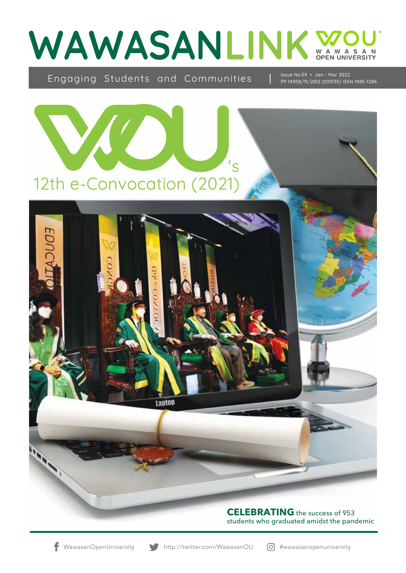

Engaging Students and Communities | Issue No.59 · Jan - Mar 2022



students who graduated amidst the pandemic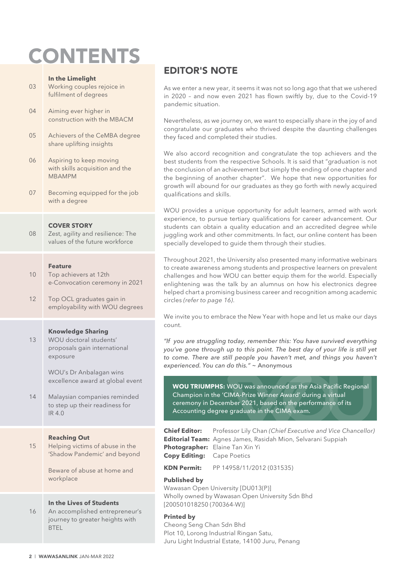# **CONTENTS**

#### **In the Limelight**

- 03 Working couples rejoice in fulfilment of degrees
- 04 Aiming ever higher in construction with the MBACM
- 05 Achievers of the CeMBA degree share uplifting insights
- 06 Aspiring to keep moving with skills acquisition and the MBAMPM
- 07 Becoming equipped for the job with a degree

#### **COVER STORY**

08 Zest, agility and resilience: The values of the future workforce

#### **Feature**

- 10 Top achievers at 12th e-Convocation ceremony in 2021
- 12 Top OCL graduates gain in employability with WOU degrees

#### **Knowledge Sharing**

13 WOU doctoral students' proposals gain international exposure

> WOU's Dr Anbalagan wins excellence award at global event

14 Malaysian companies reminded to step up their readiness for IR 4.0

#### **Reaching Out**

15 Helping victims of abuse in the 'Shadow Pandemic' and beyond

> Beware of abuse at home and workplace

#### **In the Lives of Students**

16 An accomplished entrepreneur's journey to greater heights with **BTEL** 

### EDITOR'S NOTE

As we enter a new year, it seems it was not so long ago that that we ushered in 2020 – and now even 2021 has flown swiftly by, due to the Covid-19 pandemic situation.

Nevertheless, as we journey on, we want to especially share in the joy of and congratulate our graduates who thrived despite the daunting challenges they faced and completed their studies.

We also accord recognition and congratulate the top achievers and the best students from the respective Schools. It is said that "graduation is not the conclusion of an achievement but simply the ending of one chapter and the beginning of another chapter". We hope that new opportunities for growth will abound for our graduates as they go forth with newly acquired qualifications and skills.

WOU provides a unique opportunity for adult learners, armed with work experience, to pursue tertiary qualifications for career advancement. Our students can obtain a quality education and an accredited degree while juggling work and other commitments. In fact, our online content has been specially developed to guide them through their studies.

Throughout 2021, the University also presented many informative webinars to create awareness among students and prospective learners on prevalent challenges and how WOU can better equip them for the world. Especially enlightening was the talk by an alumnus on how his electronics degree helped chart a promising business career and recognition among academic circles *(refer to page 16)*.

We invite you to embrace the New Year with hope and let us make our days count.

*"If you are struggling today, remember this: You have survived everything you've gone through up to this point. The best day of your life is still yet*  to come. There are still people you haven't met, and things you haven't *experienced. You can do this." ~* Anonymous

**WOU TRIUMPHS:** WOU was announced as the Asia Pacific Regional Champion in the 'CIMA-Prize Winner Award' during a virtual ceremony in December 2021, based on the performance of its Accounting degree graduate in the CIMA exam.

**Chief Editor:** Professor Lily Chan *(Chief Executive and Vice Chancellor)* **Editorial Team:** Agnes James, Rasidah Mion, Selvarani Suppiah **Photographer:** Elaine Tan Xin Yi **Copy Editing:** Cape Poetics

**KDN Permit:** PP 14958/11/2012 (031535)

#### **Published by**

Wawasan Open University [DU013(P)] Wholly owned by Wawasan Open University Sdn Bhd [200501018250 (700364-W)]

#### **Printed by**

Cheong Seng Chan Sdn Bhd Plot 10, Lorong Industrial Ringan Satu, Juru Light Industrial Estate, 14100 Juru, Penang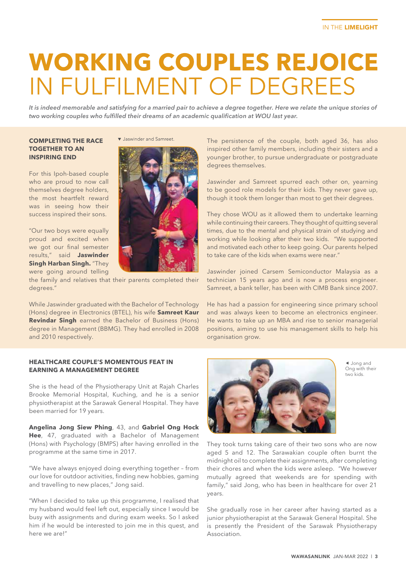# **WORKING COUPLES REJOICE** IN FULFILMENT OF DEGREES

*It is indeed memorable and satisfying for a married pair to achieve a degree together. Here we relate the unique stories of two working couples who fulfilled their dreams of an academic qualification at WOU last year.*

#### **COMPLETING THE RACE TOGETHER TO AN INSPIRING END**

For this Ipoh-based couple who are proud to now call themselves degree holders, the most heartfelt reward was in seeing how their success inspired their sons.

"Our two boys were equally proud and excited when we got our final semester results," said **Jaswinder Singh Harban Singh.** "They were going around telling



Jaswinder and Samreet

the family and relatives that their parents completed their degrees."

While Jaswinder graduated with the Bachelor of Technology (Hons) degree in Electronics (BTEL), his wife **Samreet Kaur Revindar Singh** earned the Bachelor of Business (Hons) degree in Management (BBMG). They had enrolled in 2008 and 2010 respectively.

#### **HEALTHCARE COUPLE'S MOMENTOUS FEAT IN EARNING A MANAGEMENT DEGREE**

She is the head of the Physiotherapy Unit at Rajah Charles Brooke Memorial Hospital, Kuching, and he is a senior physiotherapist at the Sarawak General Hospital. They have been married for 19 years.

**Angelina Jong Siew Phing**, 43, and **Gabriel Ong Hock Hee**, 47, graduated with a Bachelor of Management (Hons) with Psychology (BMPS) after having enrolled in the programme at the same time in 2017.

"We have always enjoyed doing everything together – from our love for outdoor activities, finding new hobbies, gaming and travelling to new places," Jong said.

"When I decided to take up this programme, I realised that my husband would feel left out, especially since I would be busy with assignments and during exam weeks. So I asked him if he would be interested to join me in this quest, and here we are!"



 Jong and Ong with their two kids.

They took turns taking care of their two sons who are now aged 5 and 12. The Sarawakian couple often burnt the midnight oil to complete their assignments, after completing their chores and when the kids were asleep. "We however mutually agreed that weekends are for spending with family," said Jong, who has been in healthcare for over 21 years.

She gradually rose in her career after having started as a junior physiotherapist at the Sarawak General Hospital. She is presently the President of the Sarawak Physiotherapy Association.

The persistence of the couple, both aged 36, has also inspired other family members, including their sisters and a younger brother, to pursue undergraduate or postgraduate degrees themselves.

Jaswinder and Samreet spurred each other on, yearning to be good role models for their kids. They never gave up, though it took them longer than most to get their degrees.

They chose WOU as it allowed them to undertake learning while continuing their careers. They thought of quitting several times, due to the mental and physical strain of studying and working while looking after their two kids. "We supported and motivated each other to keep going. Our parents helped to take care of the kids when exams were near."

Jaswinder joined Carsem Semiconductor Malaysia as a technician 15 years ago and is now a process engineer. Samreet, a bank teller, has been with CIMB Bank since 2007.

He has had a passion for engineering since primary school and was always keen to become an electronics engineer. He wants to take up an MBA and rise to senior managerial positions, aiming to use his management skills to help his organisation grow.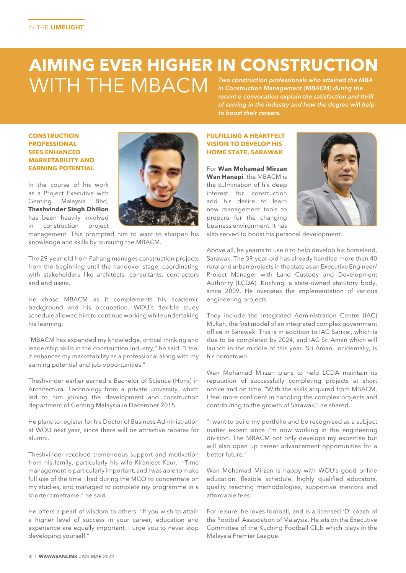#### **AIMING EVER HIGHER IN CONSTRUCTION WITH THE MBACM** *Two construction professionals who attained the MBA in Construction Management (MBACM) during the*

*recent e-convocation explain the satisfaction and thrill of serving in the industry and how the degree will help to boost their careers.*

#### **CONSTRUCTION PROFESSIONAL SEES ENHANCED MARKETABILITY AND EARNING POTENTIAL**



In the course of his work as a Project Executive with Genting Malaysia Bhd, **Theshvinder Singh Dhillon** has been heavily involved in construction project

management. This prompted him to want to sharpen his knowledge and skills by pursuing the MBACM.

The 29-year-old from Pahang manages construction projects from the beginning until the handover stage, coordinating with stakeholders like architects, consultants, contractors and end users.

He chose MBACM as it complements his academic background and his occupation. WOU's flexible study schedule allowed him to continue working while undertaking his learning.

"MBACM has expanded my knowledge, critical thinking and leadership skills in the construction industry," he said. "I feel it enhances my marketability as a professional along with my earning potential and job opportunities."

Theshvinder earlier earned a Bachelor of Science (Hons) in Architectural Technology from a private university, which led to him joining the development and construction department of Genting Malaysia in December 2015.

He plans to register for his Doctor of Business Administration at WOU next year, since there will be attractive rebates for alumni.

Theshvinder received tremendous support and motivation from his family, particularly his wife Kiranjeet Kaur. "Time management is particularly important, and I was able to make full use of the time I had during the MCO to concentrate on my studies, and managed to complete my programme in a shorter timeframe," he said.

He offers a pearl of wisdom to others: "If you wish to attain a higher level of success in your career, education and experience are equally important. I urge you to never stop developing yourself."

#### **FULFILLING A HEARTFELT VISION TO DEVELOP HIS HOME STATE, SARAWAK**

For **Wan Mohamad Mirzan Wan Hanapi**, the MBACM is the culmination of his deep interest for construction and his desire to learn new management tools to prepare for the changing business environment. It has



also served to boost his personal development.

Above all, he yearns to use it to help develop his homeland, Sarawak. The 39-year-old has already handled more than 40 rural and urban projects in the state as an Executive Engineer/ Project Manager with Land Custody and Development Authority (LCDA), Kuching, a state-owned statutory body, since 2009. He oversees the implementation of various engineering projects.

They include the Integrated Administration Centre (IAC) Mukah, the first model of an integrated complex government office in Sarawak. This is in addition to IAC Sarikei, which is due to be completed by 2024, and IAC Sri Aman which will launch in the middle of this year. Sri Aman, incidentally, is his hometown.

Wan Mohamad Mirzan plans to help LCDA maintain its reputation of successfully completing projects at short notice and on time. "With the skills acquired from MBACM, I feel more confident in handling the complex projects and contributing to the growth of Sarawak," he shared.

"I want to build my portfolio and be recognised as a subject matter expert since I'm now working in the engineering division. The MBACM not only develops my expertise but will also open up career advancement opportunities for a better future."

Wan Mohamad Mirzan is happy with WOU's good online education, flexible schedule, highly qualified educators, quality teaching methodologies, supportive mentors and affordable fees.

For leisure, he loves football, and is a licensed 'D' coach of the Football Association of Malaysia. He sits on the Executive Committee of the Kuching Football Club which plays in the Malaysia Premier League.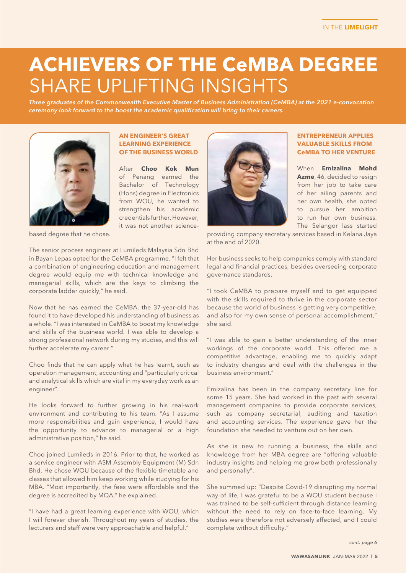## **ACHIEVERS OF THE CeMBA DEGREE SHARE UPLIFTING INSIGHTS**

*Three graduates of the Commonwealth Executive Master of Business Administration (CeMBA) at the 2021 e-convocation ceremony look forward to the boost the academic qualification will bring to their careers.* 



#### **AN ENGINEER'S GREAT LEARNING EXPERIENCE OF THE BUSINESS WORLD**

After **Choo Kok Mun** of Penang earned the Bachelor of Technology (Hons) degree in Electronics from WOU, he wanted to strengthen his academic credentials further. However, it was not another science-



#### **ENTREPRENEUR APPLIES VALUABLE SKILLS FROM CeMBA TO HER VENTURE**

When **Emizalina Mohd Azme**, 46, decided to resign from her job to take care of her ailing parents and her own health, she opted to pursue her ambition to run her own business. The Selangor lass started

providing company secretary services based in Kelana Jaya at the end of 2020.

based degree that he chose.

The senior process engineer at Lumileds Malaysia Sdn Bhd in Bayan Lepas opted for the CeMBA programme. "I felt that a combination of engineering education and management degree would equip me with technical knowledge and managerial skills, which are the keys to climbing the corporate ladder quickly," he said.

Now that he has earned the CeMBA, the 37-year-old has found it to have developed his understanding of business as a whole. "I was interested in CeMBA to boost my knowledge and skills of the business world. I was able to develop a strong professional network during my studies, and this will further accelerate my career."

Choo finds that he can apply what he has learnt, such as operation management, accounting and "particularly critical and analytical skills which are vital in my everyday work as an engineer".

He looks forward to further growing in his real-work environment and contributing to his team. "As I assume more responsibilities and gain experience, I would have the opportunity to advance to managerial or a high administrative position," he said.

Choo joined Lumileds in 2016. Prior to that, he worked as a service engineer with ASM Assembly Equipment (M) Sdn Bhd. He chose WOU because of the flexible timetable and classes that allowed him keep working while studying for his MBA. "Most importantly, the fees were affordable and the degree is accredited by MQA," he explained.

"I have had a great learning experience with WOU, which I will forever cherish. Throughout my years of studies, the lecturers and staff were very approachable and helpful."

Her business seeks to help companies comply with standard legal and financial practices, besides overseeing corporate governance standards.

"I took CeMBA to prepare myself and to get equipped with the skills required to thrive in the corporate sector because the world of business is getting very competitive, and also for my own sense of personal accomplishment," she said.

"I was able to gain a better understanding of the inner workings of the corporate world. This offered me a competitive advantage, enabling me to quickly adapt to industry changes and deal with the challenges in the business environment."

Emizalina has been in the company secretary line for some 15 years. She had worked in the past with several management companies to provide corporate services, such as company secretarial, auditing and taxation and accounting services. The experience gave her the foundation she needed to venture out on her own.

As she is new to running a business, the skills and knowledge from her MBA degree are "offering valuable industry insights and helping me grow both professionally and personally".

She summed up: "Despite Covid-19 disrupting my normal way of life, I was grateful to be a WOU student because I was trained to be self-sufficient through distance learning without the need to rely on face-to-face learning. My studies were therefore not adversely affected, and I could complete without difficulty."

*cont. page 6*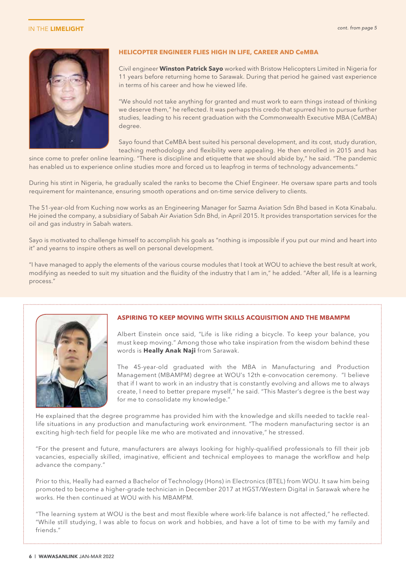#### IN THE LIMELIGHT



#### **HELICOPTER ENGINEER FLIES HIGH IN LIFE, CAREER AND CeMBA**

Civil engineer **Winston Patrick Sayo** worked with Bristow Helicopters Limited in Nigeria for 11 years before returning home to Sarawak. During that period he gained vast experience in terms of his career and how he viewed life.

"We should not take anything for granted and must work to earn things instead of thinking we deserve them," he reflected. It was perhaps this credo that spurred him to pursue further studies, leading to his recent graduation with the Commonwealth Executive MBA (CeMBA) degree.

Sayo found that CeMBA best suited his personal development, and its cost, study duration, teaching methodology and flexibility were appealing. He then enrolled in 2015 and has

since come to prefer online learning. "There is discipline and etiquette that we should abide by," he said. "The pandemic has enabled us to experience online studies more and forced us to leapfrog in terms of technology advancements."

During his stint in Nigeria, he gradually scaled the ranks to become the Chief Engineer. He oversaw spare parts and tools requirement for maintenance, ensuring smooth operations and on-time service delivery to clients.

The 51-year-old from Kuching now works as an Engineering Manager for Sazma Aviation Sdn Bhd based in Kota Kinabalu. He joined the company, a subsidiary of Sabah Air Aviation Sdn Bhd, in April 2015. It provides transportation services for the oil and gas industry in Sabah waters.

Sayo is motivated to challenge himself to accomplish his goals as "nothing is impossible if you put our mind and heart into it" and yearns to inspire others as well on personal development.

"I have managed to apply the elements of the various course modules that I took at WOU to achieve the best result at work, modifying as needed to suit my situation and the fluidity of the industry that I am in," he added. "After all, life is a learning process."



#### **ASPIRING TO KEEP MOVING WITH SKILLS ACQUISITION AND THE MBAMPM**

Albert Einstein once said, "Life is like riding a bicycle. To keep your balance, you must keep moving." Among those who take inspiration from the wisdom behind these words is **Heally Anak Naji** from Sarawak.

The 45-year-old graduated with the MBA in Manufacturing and Production Management (MBAMPM) degree at WOU's 12th e-convocation ceremony. "I believe that if I want to work in an industry that is constantly evolving and allows me to always create, I need to better prepare myself," he said. "This Master's degree is the best way for me to consolidate my knowledge."

He explained that the degree programme has provided him with the knowledge and skills needed to tackle reallife situations in any production and manufacturing work environment. "The modern manufacturing sector is an exciting high-tech field for people like me who are motivated and innovative," he stressed.

"For the present and future, manufacturers are always looking for highly-qualified professionals to fill their job vacancies, especially skilled, imaginative, efficient and technical employees to manage the workflow and help advance the company."

Prior to this, Heally had earned a Bachelor of Technology (Hons) in Electronics (BTEL) from WOU. It saw him being promoted to become a higher-grade technician in December 2017 at HGST/Western Digital in Sarawak where he works. He then continued at WOU with his MBAMPM.

"The learning system at WOU is the best and most flexible where work-life balance is not affected," he reflected. "While still studying, I was able to focus on work and hobbies, and have a lot of time to be with my family and friends."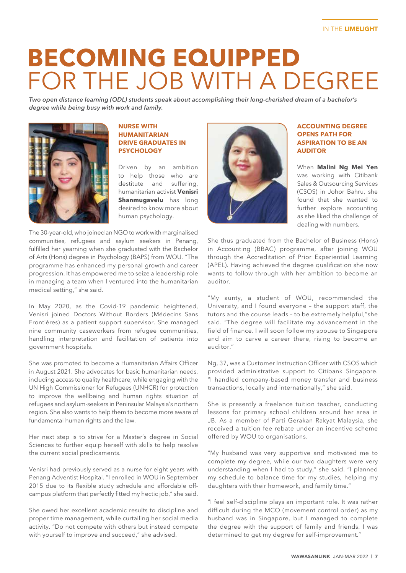# **BECOMING EQUIPPED** FOR THE JOB WITH A DEGREE

*Two open distance learning (ODL) students speak about accomplishing their long-cherished dream of a bachelor's degree while being busy with work and family.*



#### **NURSE WITH HUMANITARIAN DRIVE GRADUATES IN PSYCHOLOGY**

Driven by an ambition to help those who are destitute and suffering, humanitarian activist **Venisri Shanmugavelu** has long desired to know more about human psychology.

The 30-year-old, who joined an NGO to work with marginalised communities, refugees and asylum seekers in Penang, fulfilled her yearning when she graduated with the Bachelor of Arts (Hons) degree in Psychology (BAPS) from WOU. "The programme has enhanced my personal growth and career progression. It has empowered me to seize a leadership role in managing a team when I ventured into the humanitarian medical setting," she said.

In May 2020, as the Covid-19 pandemic heightened, Venisri joined Doctors Without Borders (Médecins Sans Frontières) as a patient support supervisor. She managed nine community caseworkers from refugee communities, handling interpretation and facilitation of patients into government hospitals.

She was promoted to become a Humanitarian Affairs Officer in August 2021. She advocates for basic humanitarian needs, including access to quality healthcare, while engaging with the UN High Commissioner for Refugees (UNHCR) for protection to improve the wellbeing and human rights situation of refugees and asylum-seekers in Peninsular Malaysia's northern region. She also wants to help them to become more aware of fundamental human rights and the law.

Her next step is to strive for a Master's degree in Social Sciences to further equip herself with skills to help resolve the current social predicaments.

Venisri had previously served as a nurse for eight years with Penang Adventist Hospital. "I enrolled in WOU in September 2015 due to its flexible study schedule and affordable offcampus platform that perfectly fitted my hectic job," she said.

She owed her excellent academic results to discipline and proper time management, while curtailing her social media activity. "Do not compete with others but instead compete with yourself to improve and succeed," she advised.



#### **ACCOUNTING DEGREE OPENS PATH FOR ASPIRATION TO BE AN AUDITOR**

When **Malini Ng Mei Yen** was working with Citibank Sales & Outsourcing Services (CSOS) in Johor Bahru, she found that she wanted to further explore accounting as she liked the challenge of dealing with numbers.

She thus graduated from the Bachelor of Business (Hons) in Accounting (BBAC) programme, after joining WOU through the Accreditation of Prior Experiential Learning (APEL). Having achieved the degree qualification she now wants to follow through with her ambition to become an auditor.

"My aunty, a student of WOU, recommended the University, and I found everyone – the support staff, the tutors and the course leads – to be extremely helpful,"she said. "The degree will facilitate my advancement in the field of finance. I will soon follow my spouse to Singapore and aim to carve a career there, rising to become an auditor."

Ng, 37, was a Customer Instruction Officer with CSOS which provided administrative support to Citibank Singapore. "I handled company-based money transfer and business transactions, locally and internationally," she said.

She is presently a freelance tuition teacher, conducting lessons for primary school children around her area in JB. As a member of Parti Gerakan Rakyat Malaysia, she received a tuition fee rebate under an incentive scheme offered by WOU to organisations.

"My husband was very supportive and motivated me to complete my degree, while our two daughters were very understanding when I had to study," she said. "I planned my schedule to balance time for my studies, helping my daughters with their homework, and family time."

"I feel self-discipline plays an important role. It was rather difficult during the MCO (movement control order) as my husband was in Singapore, but I managed to complete the degree with the support of family and friends. I was determined to get my degree for self-improvement."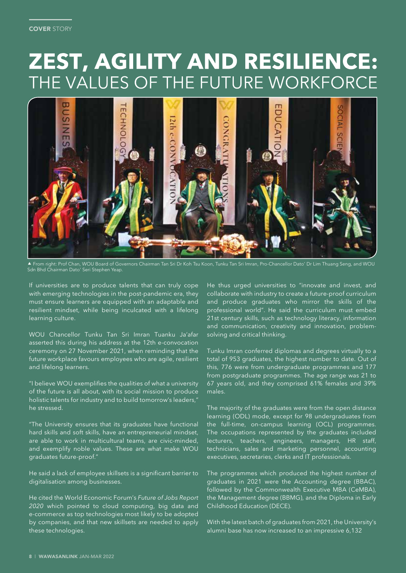#### **COVER STORY**

## **ZEST, AGILITY AND RESILIENCE:** THE VALUES OF THE FUTURE WORKFORCE



 From right: Prof Chan, WOU Board of Governors Chairman Tan Sri Dr Koh Tsu Koon, Tunku Tan Sri Imran, Pro-Chancellor Dato' Dr Lim Thuang Seng, and WOU Sdn Bhd Chairman Dato' Seri Stephen Yeap.

If universities are to produce talents that can truly cope with emerging technologies in the post-pandemic era, they must ensure learners are equipped with an adaptable and resilient mindset, while being inculcated with a lifelong learning culture.

WOU Chancellor Tunku Tan Sri Imran Tuanku Ja'afar asserted this during his address at the 12th e-convocation ceremony on 27 November 2021, when reminding that the future workplace favours employees who are agile, resilient and lifelong learners.

"I believe WOU exemplifies the qualities of what a university of the future is all about, with its social mission to produce holistic talents for industry and to build tomorrow's leaders," he stressed.

"The University ensures that its graduates have functional hard skills and soft skills, have an entrepreneurial mindset, are able to work in multicultural teams, are civic-minded, and exemplify noble values. These are what make WOU graduates future-proof."

He said a lack of employee skillsets is a significant barrier to digitalisation among businesses.

He cited the World Economic Forum's *Future of Jobs Report 2020* which pointed to cloud computing, big data and e-commerce as top technologies most likely to be adopted by companies, and that new skillsets are needed to apply these technologies.

He thus urged universities to "innovate and invest, and collaborate with industry to create a future-proof curriculum and produce graduates who mirror the skills of the professional world". He said the curriculum must embed 21st century skills, such as technology literacy, information and communication, creativity and innovation, problemsolving and critical thinking.

Tunku Imran conferred diplomas and degrees virtually to a total of 953 graduates, the highest number to date. Out of this, 776 were from undergraduate programmes and 177 from postgraduate programmes. The age range was 21 to 67 years old, and they comprised 61% females and 39% males.

The majority of the graduates were from the open distance learning (ODL) mode, except for 98 undergraduates from the full-time, on-campus learning (OCL) programmes. The occupations represented by the graduates included lecturers, teachers, engineers, managers, HR staff, technicians, sales and marketing personnel, accounting executives, secretaries, clerks and IT professionals.

The programmes which produced the highest number of graduates in 2021 were the Accounting degree (BBAC), followed by the Commonwealth Executive MBA (CeMBA), the Management degree (BBMG), and the Diploma in Early Childhood Education (DECE).

With the latest batch of graduates from 2021, the University's alumni base has now increased to an impressive 6,132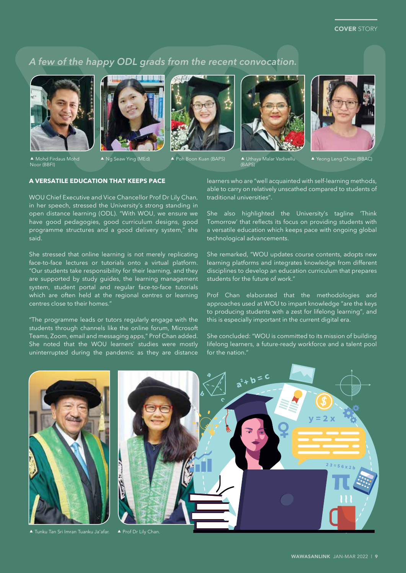### A few of the happy ODL grads from the recent convocation.









(BAPS)



▲ Yeong Leng Chow (BBAC)

#### ▲ Mohd Firdaus Mohd Noor (BBFI)

Ng Seaw Ying (MEd) Poh Boon Kuan (BAPS) Uthaya Malar Vadivellu

#### **A VERSATILE EDUCATION THAT KEEPS PACE**

WOU Chief Executive and Vice Chancellor Prof Dr Lily Chan, in her speech, stressed the University's strong standing in open distance learning (ODL). "With WOU, we ensure we have good pedagogies, good curriculum designs, good programme structures and a good delivery system," she said.

She stressed that online learning is not merely replicating face-to-face lectures or tutorials onto a virtual platform. "Our students take responsibility for their learning, and they are supported by study guides, the learning management system, student portal and regular face-to-face tutorials which are often held at the regional centres or learning centres close to their homes."

"The programme leads or tutors regularly engage with the students through channels like the online forum, Microsoft Teams, Zoom, email and messaging apps," Prof Chan added. She noted that the WOU learners' studies were mostly uninterrupted during the pandemic as they are distance

learners who are "well acquainted with self-learning methods, able to carry on relatively unscathed compared to students of traditional universities".

She also highlighted the University's tagline 'Think Tomorrow' that reflects its focus on providing students with a versatile education which keeps pace with ongoing global technological advancements.

She remarked, "WOU updates course contents, adopts new learning platforms and integrates knowledge from different disciplines to develop an education curriculum that prepares students for the future of work."

Prof Chan elaborated that the methodologies and approaches used at WOU to impart knowledge "are the keys to producing students with a zest for lifelong learning", and this is especially important in the current digital era.

She concluded: "WOU is committed to its mission of building lifelong learners, a future-ready workforce and a talent pool for the nation."



▲ Tunku Tan Sri Imran Tuanku Ja'afar. ▲ Prof Dr Lily Chan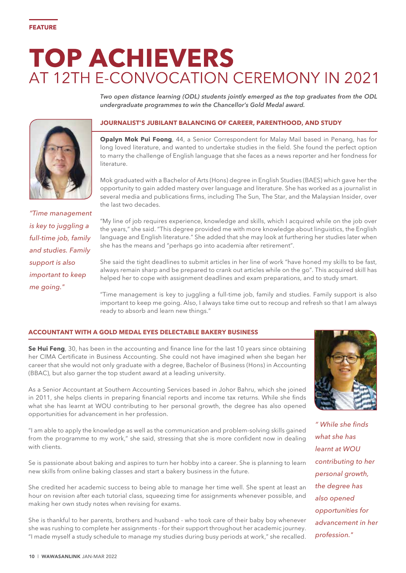## **TOP ACHIEVERS** AT 12TH E-CONVOCATION CEREMONY IN 2021

*Two open distance learning (ODL) students jointly emerged as the top graduates from the ODL undergraduate programmes to win the Chancellor's Gold Medal award.*

### **JOURNALIST'S JUBILANT BALANCING OF CAREER, PARENTHOOD, AND STUDY**

**Opalyn Mok Pui Foong**, 44, a Senior Correspondent for Malay Mail based in Penang, has for long loved literature, and wanted to undertake studies in the field. She found the perfect option to marry the challenge of English language that she faces as a news reporter and her fondness for literature.

Mok graduated with a Bachelor of Arts (Hons) degree in English Studies (BAES) which gave her the opportunity to gain added mastery over language and literature. She has worked as a journalist in several media and publications firms, including The Sun, The Star, and the Malaysian Insider, over the last two decades.

*"Time management is key to juggling a full-time job, family and studies. Family support is also important to keep me going."*

"My line of job requires experience, knowledge and skills, which I acquired while on the job over the years," she said. "This degree provided me with more knowledge about linguistics, the English language and English literature." She added that she may look at furthering her studies later when she has the means and "perhaps go into academia after retirement".

She said the tight deadlines to submit articles in her line of work "have honed my skills to be fast, always remain sharp and be prepared to crank out articles while on the go". This acquired skill has helped her to cope with assignment deadlines and exam preparations, and to study smart.

"Time management is key to juggling a full-time job, family and studies. Family support is also important to keep me going. Also, I always take time out to recoup and refresh so that I am always ready to absorb and learn new things."

#### **ACCOUNTANT WITH A GOLD MEDAL EYES DELECTABLE BAKERY BUSINESS**

**Se Hui Feng**, 30, has been in the accounting and finance line for the last 10 years since obtaining her CIMA Certificate in Business Accounting. She could not have imagined when she began her career that she would not only graduate with a degree, Bachelor of Business (Hons) in Accounting (BBAC), but also garner the top student award at a leading university.

As a Senior Accountant at Southern Accounting Services based in Johor Bahru, which she joined in 2011, she helps clients in preparing financial reports and income tax returns. While she finds what she has learnt at WOU contributing to her personal growth, the degree has also opened opportunities for advancement in her profession.

"I am able to apply the knowledge as well as the communication and problem-solving skills gained from the programme to my work," she said, stressing that she is more confident now in dealing with clients.

Se is passionate about baking and aspires to turn her hobby into a career. She is planning to learn new skills from online baking classes and start a bakery business in the future.

She credited her academic success to being able to manage her time well. She spent at least an hour on revision after each tutorial class, squeezing time for assignments whenever possible, and making her own study notes when revising for exams.

She is thankful to her parents, brothers and husband - who took care of their baby boy whenever she was rushing to complete her assignments - for their support throughout her academic journey. "I made myself a study schedule to manage my studies during busy periods at work," she recalled.

*" While she finds what she has learnt at WOU contributing to her personal growth, the degree has also opened opportunities for advancement in her profession."*



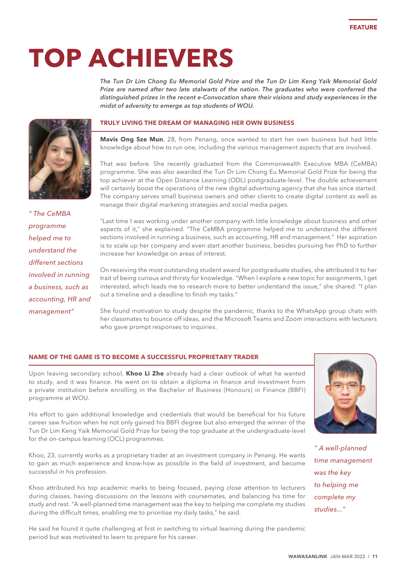# **TOP ACHIEVERS**

*The Tun Dr Lim Chong Eu Memorial Gold Prize and the Tun Dr Lim Keng Yaik Memorial Gold Prize are named after two late stalwarts of the nation. The graduates who were conferred the distinguished prizes in the recent e-Convocation share their visions and study experiences in the midst of adversity to emerge as top students of WOU.*



#### **TRULY LIVING THE DREAM OF MANAGING HER OWN BUSINESS**

**Mavis Ong Sze Mun**, 28, from Penang, once wanted to start her own business but had little knowledge about how to run one, including the various management aspects that are involved.

That was before. She recently graduated from the Commonwealth Executive MBA (CeMBA) programme. She was also awarded the Tun Dr Lim Chong Eu Memorial Gold Prize for being the top achiever at the Open Distance Learning (ODL) postgraduate-level. The double achievement will certainly boost the operations of the new digital advertising agency that she has since started. The company serves small business owners and other clients to create digital content as well as manage their digital marketing strategies and social media pages.

*" The CeMBA programme helped me to understand the different sections involved in running a business, such as accounting, HR and management"*

"Last time I was working under another company with little knowledge about business and other aspects of it," she explained. "The CeMBA programme helped me to understand the different sections involved in running a business, such as accounting, HR and management." Her aspiration is to scale up her company and even start another business, besides pursuing her PhD to further increase her knowledge on areas of interest.

On receiving the most outstanding student award for postgraduate studies, she attributed it to her trait of being curious and thirsty for knowledge. "When I explore a new topic for assignments, I get interested, which leads me to research more to better understand the issue," she shared. "I plan out a timeline and a deadline to finish my tasks."

She found motivation to study despite the pandemic, thanks to the WhatsApp group chats with her classmates to bounce off ideas, and the Microsoft Teams and Zoom interactions with lecturers who gave prompt responses to inquiries.

#### **NAME OF THE GAME IS TO BECOME A SUCCESSFUL PROPRIETARY TRADER**

Upon leaving secondary school, **Khoo Li Zhe** already had a clear outlook of what he wanted to study, and it was finance. He went on to obtain a diploma in finance and investment from a private institution before enrolling in the Bachelor of Business (Honours) in Finance (BBFI) programme at WOU.

His effort to gain additional knowledge and credentials that would be beneficial for his future career saw fruition when he not only gained his BBFI degree but also emerged the winner of the Tun Dr Lim Keng Yaik Memorial Gold Prize for being the top graduate at the undergraduate-level for the on-campus learning (OCL) programmes.

Khoo, 23, currently works as a proprietary trader at an investment company in Penang. He wants to gain as much experience and know-how as possible in the field of investment, and become successful in his profession.

Khoo attributed his top academic marks to being focused, paying close attention to lecturers during classes, having discussions on the lessons with coursemates, and balancing his time for study and rest. "A well-planned time management was the key to helping me complete my studies during the difficult times, enabling me to prioritise my daily tasks," he said.

He said he found it quite challenging at first in switching to virtual learning during the pandemic period but was motivated to learn to prepare for his career.



FEATURE

*" A well-planned time management was the key to helping me complete my studies..."*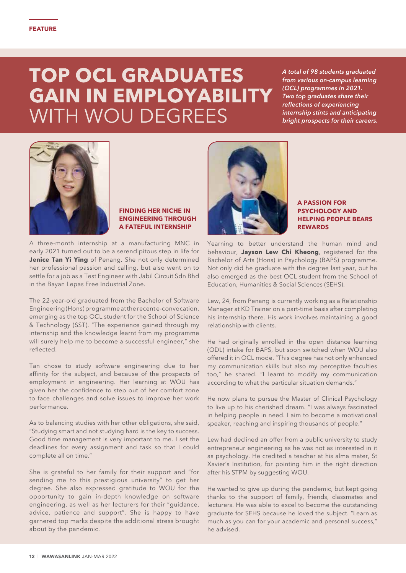## **TOP OCL GRADUATES GAIN IN EMPLOYABILITY WITH WOU DEGREES**

*A total of 98 students graduated from various on-campus learning (OCL) programmes in 2021. Two top graduates share their reflections of experiencing internship stints and anticipating bright prospects for their careers.*



#### **FINDING HER NICHE IN ENGINEERING THROUGH A FATEFUL INTERNSHIP**

A three-month internship at a manufacturing MNC in early 2021 turned out to be a serendipitous step in life for **Jenice Tan Yi Ying** of Penang. She not only determined her professional passion and calling, but also went on to settle for a job as a Test Engineer with Jabil Circuit Sdn Bhd in the Bayan Lepas Free Industrial Zone.

The 22-year-old graduated from the Bachelor of Software Engineering (Hons) programme at the recent e-convocation, emerging as the top OCL student for the School of Science & Technology (SST). "The experience gained through my internship and the knowledge learnt from my programme will surely help me to become a successful engineer," she reflected.

Tan chose to study software engineering due to her affinity for the subject, and because of the prospects of employment in engineering. Her learning at WOU has given her the confidence to step out of her comfort zone to face challenges and solve issues to improve her work performance.

As to balancing studies with her other obligations, she said, "Studying smart and not studying hard is the key to success. Good time management is very important to me. I set the deadlines for every assignment and task so that I could complete all on time."

She is grateful to her family for their support and "for sending me to this prestigious university" to get her degree. She also expressed gratitude to WOU for the opportunity to gain in-depth knowledge on software engineering, as well as her lecturers for their "guidance, advice, patience and support". She is happy to have garnered top marks despite the additional stress brought about by the pandemic.



**A PASSION FOR PSYCHOLOGY AND HELPING PEOPLE BEARS REWARDS**

Yearning to better understand the human mind and behaviour, **Jayson Lew Chi Kheong**, registered for the Bachelor of Arts (Hons) in Psychology (BAPS) programme. Not only did he graduate with the degree last year, but he also emerged as the best OCL student from the School of Education, Humanities & Social Sciences (SEHS).

Lew, 24, from Penang is currently working as a Relationship Manager at KD Trainer on a part-time basis after completing his internship there. His work involves maintaining a good relationship with clients.

He had originally enrolled in the open distance learning (ODL) intake for BAPS, but soon switched when WOU also offered it in OCL mode. "This degree has not only enhanced my communication skills but also my perceptive faculties too," he shared. "I learnt to modify my communication according to what the particular situation demands."

He now plans to pursue the Master of Clinical Psychology to live up to his cherished dream. "I was always fascinated in helping people in need. I aim to become a motivational speaker, reaching and inspiring thousands of people."

Lew had declined an offer from a public university to study entrepreneur engineering as he was not as interested in it as psychology. He credited a teacher at his alma mater, St Xavier's Institution, for pointing him in the right direction after his STPM by suggesting WOU.

He wanted to give up during the pandemic, but kept going thanks to the support of family, friends, classmates and lecturers. He was able to excel to become the outstanding graduate for SEHS because he loved the subject. "Learn as much as you can for your academic and personal success," he advised.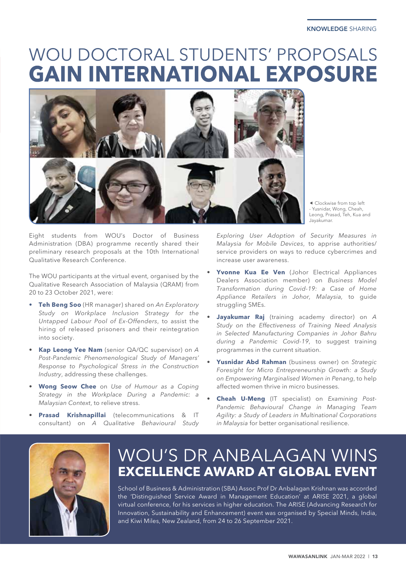## WOU DOCTORAL STUDENTS' PROPOSALS **GAIN INTERNATIONAL EXPOSURE**



 Clockwise from top left - Yusnidar, Wong, Cheah, Leong, Prasad, Teh, Kua and Jayakumar.

Eight students from WOU's Doctor of Business Administration (DBA) programme recently shared their preliminary research proposals at the 10th International Qualitative Research Conference.

The WOU participants at the virtual event, organised by the Qualitative Research Association of Malaysia (QRAM) from 20 to 23 October 2021, were:

- **• Teh Beng Soo** (HR manager) shared on *An Exploratory Study on Workplace Inclusion Strategy for the Untapped Labour Pool of Ex-Offenders*, to assist the hiring of released prisoners and their reintegration into society.
- **Kap Leong Yee Nam** (senior QA/QC supervisor) on *A Post-Pandemic Phenomenological Study of Managers' Response to Psychological Stress in the Construction Industry*, addressing these challenges.
- **Wong Seow Chee** on *Use of Humour as a Coping Strategy in the Workplace During a Pandemic: a Malaysian Context*, to relieve stress.
- **Prasad Krishnapillai** (telecommunications & IT consultant) on *A Qualitative Behavioural Study*

*Exploring User Adoption of Security Measures in Malaysia for Mobile Devices*, to apprise authorities/ service providers on ways to reduce cybercrimes and increase user awareness.

- **Yvonne Kua Ee Ven** (Johor Electrical Appliances Dealers Association member) on *Business Model Transformation during Covid-19: a Case of Home Appliance Retailers in Johor, Malaysia,* to guide struggling SMEs.
- **Jayakumar Raj** (training academy director) on *A Study on the Effectiveness of Training Need Analysis in Selected Manufacturing Companies in Johor Bahru during a Pandemic Covid-19*, to suggest training programmes in the current situation.
- **Yusnidar Abd Rahman** (business owner) on *Strategic Foresight for Micro Entrepreneurship Growth: a Study on Empowering Marginalised Women in Penang*, to help affected women thrive in micro businesses.
- **Cheah U-Meng** (IT specialist) on *Examining Post-Pandemic Behavioural Change in Managing Team Agility: a Study of Leaders in Multinational Corporations in Malaysia* for better organisational resilience.



### WOU'S DR ANBALAGAN WINS **EXCELLENCE AWARD AT GLOBAL EVENT**

School of Business & Administration (SBA) Assoc Prof Dr Anbalagan Krishnan was accorded the 'Distinguished Service Award in Management Education' at ARISE 2021, a global virtual conference, for his services in higher education. The ARISE (Advancing Research for Innovation, Sustainability and Enhancement) event was organised by Special Minds, India, and Kiwi Miles, New Zealand, from 24 to 26 September 2021.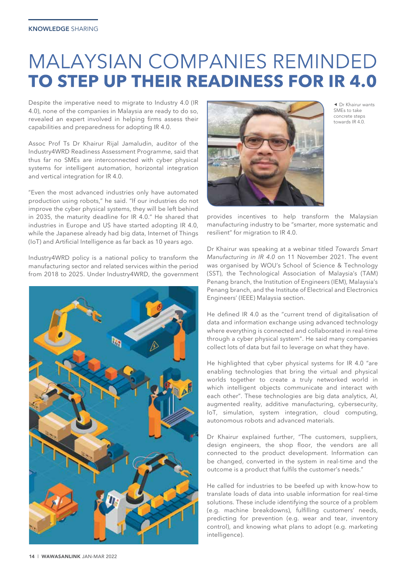### **MALAYSIAN COMPANIES REMINDED TO STEP UP THEIR READINESS FOR IR 4.0**

Despite the imperative need to migrate to Industry 4.0 (IR 4.0), none of the companies in Malaysia are ready to do so, revealed an expert involved in helping firms assess their capabilities and preparedness for adopting IR 4.0.

Assoc Prof Ts Dr Khairur Rijal Jamaludin, auditor of the Industry4WRD Readiness Assessment Programme, said that thus far no SMEs are interconnected with cyber physical systems for intelligent automation, horizontal integration and vertical integration for IR 4.0.

"Even the most advanced industries only have automated production using robots," he said. "If our industries do not improve the cyber physical systems, they will be left behind in 2035, the maturity deadline for IR 4.0." He shared that industries in Europe and US have started adopting IR 4.0, while the Japanese already had big data, Internet of Things (IoT) and Artificial Intelligence as far back as 10 years ago.

Industry4WRD policy is a national policy to transform the manufacturing sector and related services within the period from 2018 to 2025. Under Industry4WRD, the government





 Dr Khairur wants SMEs to take concrete steps towards IR 4.0.

provides incentives to help transform the Malaysian manufacturing industry to be "smarter, more systematic and resilient" for migration to IR 4.0.

Dr Khairur was speaking at a webinar titled *Towards Smart Manufacturing in IR 4.0* on 11 November 2021. The event was organised by WOU's School of Science & Technology (SST), the Technological Association of Malaysia's (TAM) Penang branch, the Institution of Engineers (IEM), Malaysia's Penang branch, and the Institute of Electrical and Electronics Engineers' (IEEE) Malaysia section.

He defined IR 4.0 as the "current trend of digitalisation of data and information exchange using advanced technology where everything is connected and collaborated in real-time through a cyber physical system". He said many companies collect lots of data but fail to leverage on what they have.

He highlighted that cyber physical systems for IR 4.0 "are enabling technologies that bring the virtual and physical worlds together to create a truly networked world in which intelligent objects communicate and interact with each other". These technologies are big data analytics, AI, augmented reality, additive manufacturing, cybersecurity, IoT, simulation, system integration, cloud computing, autonomous robots and advanced materials.

Dr Khairur explained further, "The customers, suppliers, design engineers, the shop floor, the vendors are all connected to the product development. Information can be changed, converted in the system in real-time and the outcome is a product that fulfils the customer's needs."

He called for industries to be beefed up with know-how to translate loads of data into usable information for real-time solutions. These include identifying the source of a problem (e.g. machine breakdowns), fulfilling customers' needs, predicting for prevention (e.g. wear and tear, inventory control), and knowing what plans to adopt (e.g. marketing intelligence).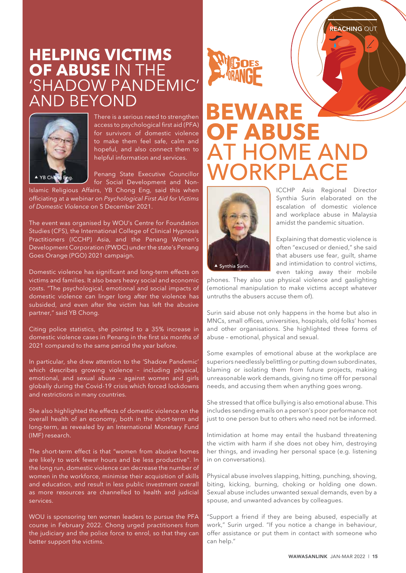# **HELPING VICTIMS<br>OF ABUSE IN THE<br>'SHADOW PANDEMIC' AND BEYOND**



There is a serious need to strengthen access to psychological first aid (PFA) for survivors of domestic violence to make them feel safe, calm and hopeful, and also connect them to helpful information and services.

Penang State Executive Councillor for Social Development and Non-

Islamic Religious Affairs, YB Chong Eng, said this when officiating at a webinar on *Psychological First Aid for Victims of Domestic Violence* on 5 December 2021.

The event was organised by WOU's Centre for Foundation Studies (CFS), the International College of Clinical Hypnosis Practitioners (ICCHP) Asia, and the Penang Women's Development Corporation (PWDC) under the state's Penang Goes Orange (PGO) 2021 campaign.

Domestic violence has significant and long-term effects on victims and families. It also bears heavy social and economic costs. "The psychological, emotional and social impacts of domestic violence can linger long after the violence has subsided, and even after the victim has left the abusive partner," said YB Chong.

Citing police statistics, she pointed to a 35% increase in domestic violence cases in Penang in the first six months of 2021 compared to the same period the year before.

In particular, she drew attention to the 'Shadow Pandemic' which describes growing violence - including physical, emotional, and sexual abuse – against women and girls globally during the Covid-19 crisis which forced lockdowns and restrictions in many countries.

She also highlighted the effects of domestic violence on the overall health of an economy, both in the short-term and long-term, as revealed by an International Monetary Fund (IMF) research.

The short-term effect is that "women from abusive homes are likely to work fewer hours and be less productive". In the long run, domestic violence can decrease the number of women in the workforce, minimise their acquisition of skills and education, and result in less public investment overall as more resources are channelled to health and judicial services.

WOU is sponsoring ten women leaders to pursue the PFA course in February 2022. Chong urged practitioners from the judiciary and the police force to enrol, so that they can better support the victims.



## **BEWARE OF ABUSE** AT HOME AND **IORKPI AC**



ICCHP Asia Regional Director Synthia Surin elaborated on the escalation of domestic violence and workplace abuse in Malaysia amidst the pandemic situation.

Explaining that domestic violence is often "excused or denied," she said that abusers use fear, guilt, shame and intimidation to control victims, even taking away their mobile

phones. They also use physical violence and gaslighting (emotional manipulation to make victims accept whatever untruths the abusers accuse them of).

Surin said abuse not only happens in the home but also in MNCs, small offices, universities, hospitals, old folks' homes and other organisations. She highlighted three forms of abuse – emotional, physical and sexual.

Some examples of emotional abuse at the workplace are superiors needlessly belittling or putting down subordinates, blaming or isolating them from future projects, making unreasonable work demands, giving no time off for personal needs, and accusing them when anything goes wrong.

She stressed that office bullying is also emotional abuse. This includes sending emails on a person's poor performance not just to one person but to others who need not be informed.

Intimidation at home may entail the husband threatening the victim with harm if she does not obey him, destroying her things, and invading her personal space (e.g. listening in on conversations).

Physical abuse involves slapping, hitting, punching, shoving, biting, kicking, burning, choking or holding one down. Sexual abuse includes unwanted sexual demands, even by a spouse, and unwanted advances by colleagues.

"Support a friend if they are being abused, especially at work," Surin urged. "If you notice a change in behaviour, offer assistance or put them in contact with someone who can help."